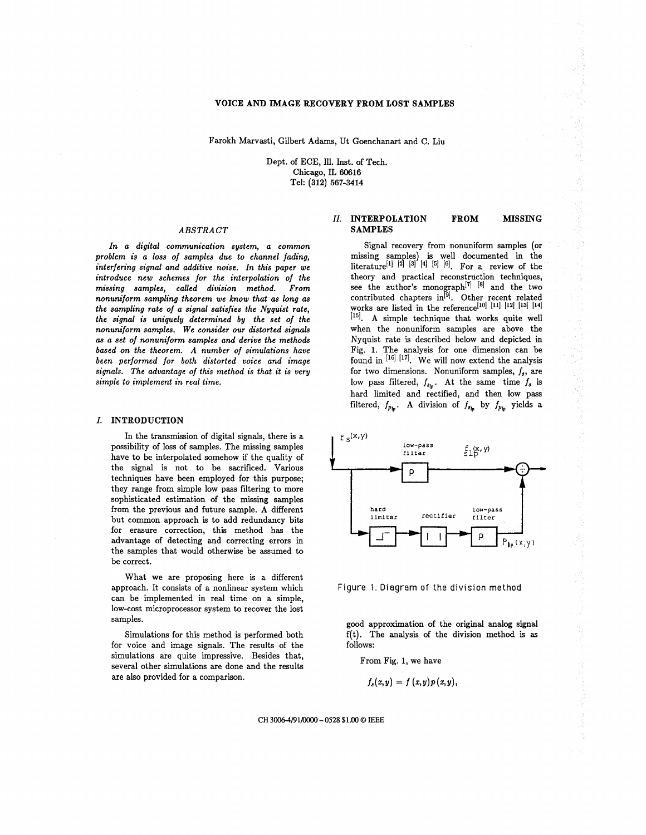## **VOICE AND IMAGE RECOVERY FROM LOST SAMPLES**

Farokh Marvasti, Gilbert Adams, Ut Goenchanart and C. Liu

Dept. of ECE, Ill. Inst. of Tech. Chicago, **IL 60616**  Tel: **(312) 567-3414** 

#### ABSTRACT

In a digital communication system, a common problem is a *loss* of samples due to channel fading, interfering signal and additive noise. In this paper we introduce new schemes for the interpolation of the missing samples, called division method. From nonuniform sampling theorem we know that **as** long **as**  the sampling rate of a signal satisfies the Nyquist rate, the signal is uniquely determined by the set of the nonuniform samples. We consider our distorted signals **as** a set of nonuniform samples and derive the methods based on the theorem. A number of simulations have been performed for both distorted voice and image signals. The advantage of this method is that it is very simple to implement in real time.

#### **I. INTRODUCTION**

In the transmission of digital signals, there is a possibility of loss of samples. The missing samples have to be interpolated somehow if the quality of the signal is not to be sacrificed. Various techniques have been employed for this purpose; they range from simple low pass filtering to more sophisticated estimation of the missing samples from the previous and future sample. A different but common approach is to add redundancy bits for erasure correction, this method has the advantage of detecting and correcting errors in the samples that would otherwise be assumed to be correct.

What we are proposing here is a different approach. It consists of a nonlinear system which can be implemented in real time on a simple, low-cost microprocessor system to recover the lost samples.

Simulations for this method is performed both for voice and image signals. The results of the simulations are quite impressive. Besides that, several other simulations are done and the results are also provided for a comparison.

# *II.* **INTERPOLATION FROM MISSING SAMPLES**

Signal recovery from nonuniform samples (or missing samples) is well documented in the literature<sup>[1] [2] [3] [4] [5] [6]. For a review of the</sup> theory and practical reconstruction techniques, see the author's monograph<sup>[7] [8]</sup> and the two works are listed in the reference<sup>[10]</sup> [11] [12] [13] [14]  $[$ <sup>15]</sup>. A simple technique that works quite well when the nonuniform samples are above the Nyquist rate is described below and depicted in Fig. 1. The analysis for one dimension can be found in  $[16]$   $[17]$ . We will now extend the analysis for two dimensions. Nonuniform samples,  $f_s$ , are low pass filtered,  $f_{s_h}$ . At the same time  $f_s$  is hard limited and rectified, and then low pass filtered,  $f_{p_{lp}}$ . A division of  $f_{s_{lp}}$  by  $f_{p_{lp}}$  yields a see the author's monograph<sup>er</sup> in and the two<br>contributed chapters in<sup>[9]</sup>. Other recent related





good approximation of the original analog signal f(t). The analysis of the division method is **as**  follows:

From Fig. 1, we have

$$
f_s(x,y)=f(x,y)p(x,y),
$$

**CH 30064/91/0000** - **0528** \$1.00 *0* **IEEE**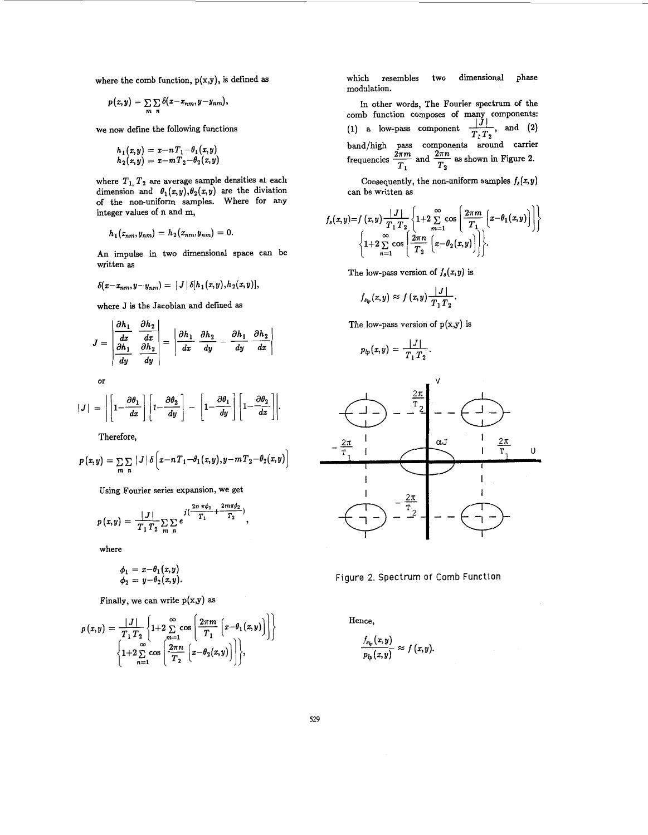where the comb function, p(x,y), is defined **as** 

$$
p(x,y)=\sum_{m}\sum_{n}\delta(x-x_{nm},y-y_{nm}),
$$

we now define the following functions

$$
h_1(x,y) = x - nT_1 - \theta_1(x,y) h_2(x,y) = x - mT_2 - \theta_2(x,y)
$$

where  $T_1$ ,  $T_2$  are average sample densities at each dimension and  $\theta_1(x,y), \theta_2(x,y)$  are the diviation of the non-uniform samples. Where for any integer values of n and m,

$$
h_1(x_{nm},y_{nm})=h_2(x_{nm},y_{nm})=0.
$$

An impulse in two dimensional space can be written **as** 

$$
\delta(x-x_{nm},y-y_{nm}) = |J| \delta[h_1(x,y),h_2(x,y)],
$$

where J is the Jacobian and defined as

$$
J = \begin{vmatrix} \frac{\partial h_1}{\partial x} & \frac{\partial h_2}{\partial x} \\ \frac{\partial h_1}{\partial y} & \frac{\partial h_2}{\partial y} \end{vmatrix} = \begin{vmatrix} \frac{\partial h_1}{\partial x} & \frac{\partial h_2}{\partial y} - \frac{\partial h_1}{\partial y} & \frac{\partial h_2}{\partial x} \end{vmatrix}
$$

or

$$
|J| = \left| \left[ 1 - \frac{\partial \theta_1}{dx} \right] \left[ 1 - \frac{\partial \theta_2}{dy} \right] - \left[ 1 - \frac{\partial \theta_1}{dy} \right] \left[ 1 - \frac{\partial \theta_2}{dx} \right] \right|
$$

Therefore,

$$
p(x,y) = \sum_{m} \sum_{n} |J| \delta\left(x - nT_1 - \theta_1(x,y), y - mT_2 - \theta_2(x,y)\right)
$$

Using Fourier series expansion, we get

$$
p(x,y) = \frac{|J|}{T_1 T_2} \sum_{m} \sum_{n} e^{-j(\frac{2m \pi \phi_1}{T_1} + \frac{2m \pi \phi_2}{T_2})},
$$

where

$$
\begin{array}{c} \phi_1 = x{-}\theta_1(x,y) \\ \phi_2 = y{-}\theta_2(x,y) \end{array}
$$

Finally, we can write  $p(x,y)$  as

$$
p(x,y) = \frac{|J|}{T_1 T_2} \left\{ 1+2 \sum_{m=1}^{\infty} \cos \left( \frac{2\pi m}{T_1} \left( x-\theta_1(x,y) \right) \right) \right\}
$$

$$
\left\{ 1+2 \sum_{n=1}^{\infty} \cos \left( \frac{2\pi n}{T_2} \left( x-\theta_2(x,y) \right) \right) \right\},\
$$

which resembles two dimensional phase modulation.

In other words, The Fourier spectrum of the comb function composes of many components:<br>
(1) a low-pass component  $\frac{|J|}{T_1 T_2}$ , and (2) band/high pass components around carrier comb function composes of many components<br>
(1) a low-pass component  $\frac{|J|}{T_1 T_2}$ , and (2)<br>
band/high pass components around carrie<br>
frequencies  $\frac{2\pi m}{T_1}$  and  $\frac{2\pi n}{T_2}$  as shown in Figure 2.  $\frac{2\pi m}{2}$  and  $\frac{2\pi n}{2}$  $T_1$   $T_2$ 

Consequently, the non-uniform samples  $f_s(x, y)$ can be written **as** 

$$
f_s(x,y)=f(x,y)\frac{|J|}{T_1T_2}\left\{1+2\sum_{m=1}^{\infty}\cos\left(\frac{2\pi m}{T_1}\left(x-\theta_1(x,y)\right)\right)\right\}
$$

$$
\left\{1+2\sum_{n=1}^{\infty}\cos\left(\frac{2\pi n}{T_2}\left(x-\theta_2(x,y)\right)\right)\right\}.
$$

The low-pass version of  $f_s(x, y)$  is

$$
f_{s_{lp}}(x,y) \approx f(x,y) \frac{|J|}{T_1 T_2}.
$$

The low-pass version of  $p(x,y)$  is

$$
p_{lp}(x,y)=\frac{|J|}{T_1T_2}.
$$



Figure 2. Spectrum of Comb Function

Hence,

$$
\frac{f_{s_{lp}}(x,y)}{p_{lp}(x,y)}\approx f(x,y)
$$

**529**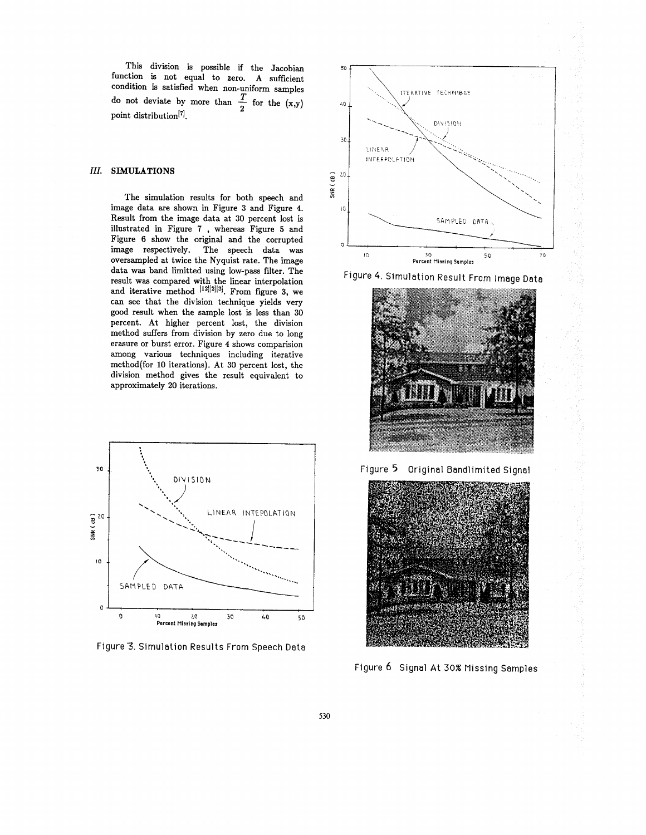This division is possible if the Jacobian function is not equal to zero. A sufficient tunction is not equal to zero. A sufficient<br>condition is satisfied when non-uniform samples<br>do not deviate by more than  $\frac{T}{\tau}$  for the (x,y) point distribution<sup>[7]</sup>. do not deviate by more than  $\frac{T}{2}$  for the (x,y)

# *111.* **SIMULATIONS**

The simulation results for both speech and image data are shown in Figure **3** and Figure **4.**  Result from the image data at **30** percent lost is illustrated in [Figure](#page-3-0) **7** , whereas Figure **5** and Figure 6 show the original and the corrupted image respectively. The speech data was oversampled at twice the Nyquist rate. The image data was band limitted using low-pass filter. The result was compared with the linear interpolation and iterative method **[121121[3].** From figure **3,** we can see that the division technique yields very good result when the sample lost is less than **30**  percent. At higher percent lost, the division method suffers from division by zero due to long erasure or burst error. Figure **4** shows comparision among various techniques including iterative method(for 10 iterations). At 30 percent lost, the division method gives the result equivalent to approximately **20** iterations.



Figure 3. Simulation Results From Speech Data



Figure 4. Simulation Result From Image Data



Figure *5* Original Bandlimited Signal



Figure 6 Signal At **30%** Missing Samples